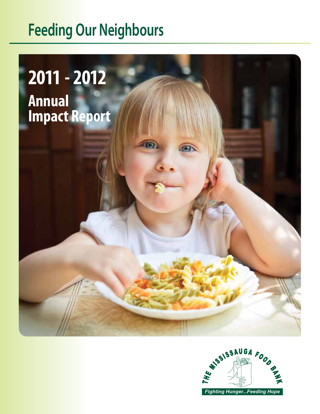# **Feeding Our Neighbours**

# **2011 - 2012 Annual Impact Report**



 $\circ$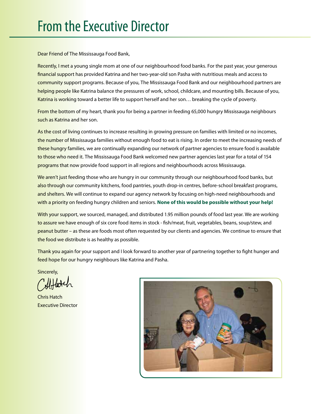Dear Friend of The Mississauga Food Bank,

Recently, I met a young single mom at one of our neighbourhood food banks. For the past year, your generous financial support has provided Katrina and her two-year-old son Pasha with nutritious meals and access to community support programs. Because of you, The Mississauga Food Bank and our neighbourhood partners are helping people like Katrina balance the pressures of work, school, childcare, and mounting bills. Because of you, Katrina is working toward a better life to support herself and her son... breaking the cycle of poverty.

From the bottom of my heart, thank you for being a partner in feeding 65,000 hungry Mississauga neighbours such as Katrina and her son.

As the cost of living continues to increase resulting in growing pressure on families with limited or no incomes, the number of Mississauga families without enough food to eat is rising. In order to meet the increasing needs of these hungry families, we are continually expanding our network of partner agencies to ensure food is available to those who need it. The Mississauga Food Bank welcomed new partner agencies last year for a total of 154 programs that now provide food support in all regions and neighbourhoods across Mississauga.

We aren't just feeding those who are hungry in our community through our neighbourhood food banks, but also through our community kitchens, food pantries, youth drop-in centres, before-school breakfast programs, and shelters. We will continue to expand our agency network by focusing on high-need neighbourhoods and with a priority on feeding hungry children and seniors. **None of this would be possible without your help!**

With your support, we sourced, managed, and distributed 1.95 million pounds of food last year. We are working to assure we have enough of six core food items in stock - fish/meat, fruit, vegetables, beans, soup/stew, and peanut butter – as these are foods most often requested by our clients and agencies. We continue to ensure that the food we distribute is as healthy as possible.

Thank you again for your support and I look forward to another year of partnering together to fight hunger and feed hope for our hungry neighbours like Katrina and Pasha.

Sincerely,

Chris Hatch Executive Director

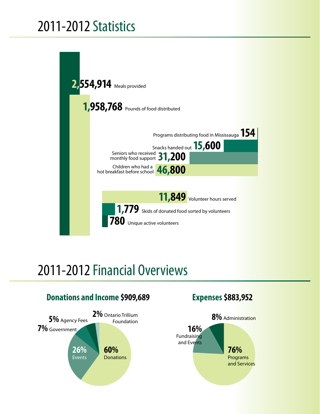## 2011-2012 Statistics



## 2011-2012 Financial Overviews

### **Donations and Income \$909,689**



### **Expenses \$883,952**

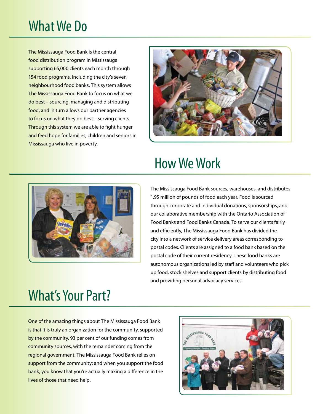## What We Do

The Mississauga Food Bank is the central food distribution program in Mississauga supporting 65,000 clients each month through 154 food programs, including the city's seven neighbourhood food banks. This system allows The Mississauga Food Bank to focus on what we do best – sourcing, managing and distributing food, and in turn allows our partner agencies to focus on what they do best – serving clients. Through this system we are able to fight hunger and feed hope for families, children and seniors in Mississauga who live in poverty.



### How We Work



The Mississauga Food Bank sources, warehouses, and distributes 1.95 million of pounds of food each year. Food is sourced through corporate and individual donations, sponsorships, and our collaborative membership with the Ontario Association of Food Banks and Food Banks Canada. To serve our clients fairly and efficiently, The Mississauga Food Bank has divided the city into a network of service delivery areas corresponding to postal codes. Clients are assigned to a food bank based on the postal code of their current residency. These food banks are autonomous organizations led by staff and volunteers who pick up food, stock shelves and support clients by distributing food and providing personal advocacy services.

### What's Your Part?

One of the amazing things about The Mississauga Food Bank is that it is truly an organization for the community, supported by the community. 93 per cent of our funding comes from community sources, with the remainder coming from the regional government. The Mississauga Food Bank relies on support from the community; and when you support the food bank, you know that you're actually making a difference in the lives of those that need help.

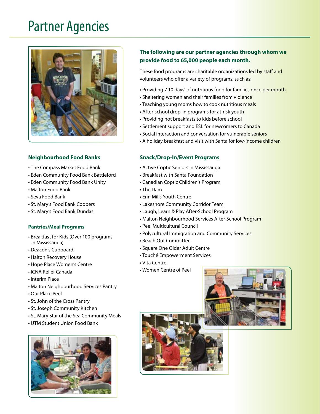### Partner Agencies



#### **Neighbourhood Food Banks**

- The Compass Market Food Bank
- Eden Community Food Bank Battleford
- Eden Community Food Bank Unity
- Malton Food Bank
- Seva Food Bank
- St. Mary's Food Bank Coopers
- St. Mary's Food Bank Dundas

#### **Pantries/Meal Programs**

- Breakfast for Kids (Over 100 programs in Mississauga)
- Deacon's Cupboard
- Halton Recovery House
- Hope Place Women's Centre
- ICNA Relief Canada
- Interim Place
- Malton Neighbourhood Services Pantry
- Our Place Peel
- St. John of the Cross Pantry
- St. Joseph Community Kitchen
- St. Mary Star of the Sea Community Meals
- UTM Student Union Food Bank



#### **The following are our partner agencies through whom we provide food to 65,000 people each month.**

These food programs are charitable organizations led by staff and volunteers who offer a variety of programs, such as:

- Providing 7-10 days' of nutritious food for families once per month
- Sheltering women and their families from violence
- Teaching young moms how to cook nutritious meals
- After-school drop-in programs for at-risk youth
- Providing hot breakfasts to kids before school
- Settlement support and ESL for newcomers to Canada
- Social interaction and conversation for vulnerable seniors
- A holiday breakfast and visit with Santa for low-income children

#### **Snack/Drop-In/Event Programs**

- Active Coptic Seniors in Mississauga
- Breakfast with Santa Foundation
- Canadian Coptic Children's Program
- The Dam
- Erin Mills Youth Centre
- Lakeshore Community Corridor Team
- Laugh, Learn & Play After-School Program
- Malton Neighbourhood Services After-School Program
- Peel Multicultural Council
- Polycultural Immigration and Community Services
- Reach Out Committee
- Square One Older Adult Centre
- Touché Empowerment Services
- Vita Centre
- Women Centre of Peel



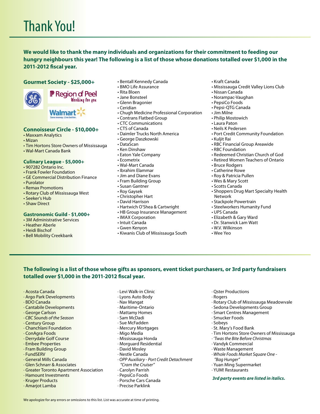**We would like to thank the many individuals and organizations for their commitment to feeding our hungry neighbours this year! The following is a list of those whose donations totalled over \$1,000 in the 2011-2012 fiscal year.** 

#### **Gourmet Society - \$25,000+**



**F** Region of Peel Wonking fon you

**Walmart** 

#### **Connoisseur Circle - \$10,000+**

- Maxxam Analytics
- Mizan
- Tim Hortons Store Owners of Mississauga
- Wal-Mart Canada Bank

#### **Culinary League - \$5,000+**

- 907282 Ontario Inc.
- Frank Fowler Foundation
- GE Commercial Distribution Finance
- Purolator
- Remax Promotions
- Rotary Club of Mississauga West
- Seeker's Hub
- Shaw Direct

#### **Gastronomic Guild - \$1,000+**

- 3M Administrative Services
- Heather Aberle
- Heidi Bischof
- Bell Mobility Creekbank
- Bentall Kennedy Canada
- BMO Life Assurance
- Rita Bloen
- Jane Bonsteel
- Glenn Bragonier
- Ceridian
- Chugh Medicine Professional Corporation
- Contrans Flatbed Group
- CTC Communications
- CTS of Canada
- Daimler Trucks North America
- George Daszkowski
- DataScan
- Ken Dinshaw
- Eaton Yale Company
- Ecometrix
- Wal-Mart Canada
- Ibrahim Elammar
- Jim and Diane Evans
- Fram Building Group
- Susan Gantner
- Roy Gaysek
- Christopher Hart • David Harrison
- Hartwich O'Shea & Cartwright
- HB Group Insurance Management
- IMAX Corporation
- Intuit Canada

· Levi Walk-in Clinic · Lyons Auto Body · Nav Mangat · Maritime-Ontario · Mattamy Homes · Sam McDadi · Sue McFadden · Mercury Mortgages · Migo Media · Mississauga Honda · Morguard Residential · David Mosley · Nestle Canada

*"Cram the Cruiser"* · Carolyn Parrish · PepsiCo Foods · Porsche Cars Canada · Precise Parklink

- Gwen Kenyon
- Kiwanis Club of Mississauga South
- Kraft Canada
- Mississauga Credit Valley Lions Club
- Nissan Canada
- Norampac-Vaughan
- PepsiCo Foods
- Pepsi-QTG Canada
- Jim Milne
- Philip Mostowich
- Laura Paton
- Neils K Pedersen
- Port Credit Community Foundation
- Kuljit Rai
- RBC Financial Group Areawide
- RBC Foundation
- Redeemed Christian Church of God
- Retired Women Teachers of Ontario
- Bruce Rodgers
- Catherine Rowe
- Roy & Patricia Pullen
- Wes & Mary Scott
- Scotts Canada
- Shoppers Drug Mart Specialty Health Network
- Stackpole Powertrain
- Steelworkers Humanity Fund
- UPS Canada
- Elizabeth & Gary Ward
- Dr. Stanwick Lam Watt

· Qster Productions

· Smucker Foods · Sobeys

*"Bag Hunger"*

· St. Mary's Food Bank

· Rotary Club of Mississauga Meadowvale

· Tim Hortons Store Owners of Mississauga

· Sedona Developments Group · Smart Centres Management

*· 'Twas the Bite Before Christmas* · Vandyk Commercial · Waste Management

*· Whole Foods Market Square One -* 

 *3rd party events are listed in italics.*

· Yuan Ming Supermarket · YUM! Restaurants

· Rogers

- W.V. Wilkinson
- Wee Yeo

#### **The following is a list of those whose gifts as sponsors, event ticket purchasers, or 3rd party fundraisers totalled over \$1,000 in the 2011-2012 fiscal year.**

*· OPP Auxiliary - Port Credit Detachment* 

- · Acosta Canada
- · Argo Park Developments
- · BDO Canada
- · Cantabile Developments
- · George Carlson
- *· CBC Sounds of the Season*
- · Century Group
- · Chanchlani Foundation
- · ConAgra Foods
- · Derrydale Golf Course
- · Embee Properties
- · Fram Building Group
- · FundSERV
- · General Mills Canada
- · Glen Schnarr & Associates

· Hamount Investments · Kruger Products · Amarjot Lamba

· Greater Toronto Apartment Association

We apologize for any errors or omissions to this list. List was accurate at time of printing.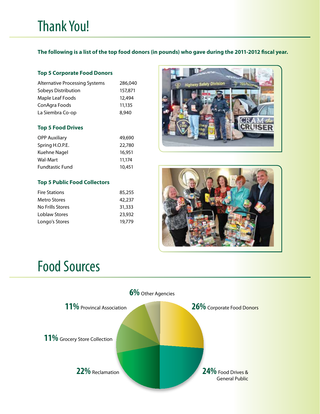**The following is a list of the top food donors (in pounds) who gave during the 2011-2012 fiscal year.**

#### **Top 5 Corporate Food Donors**

| <b>Alternative Processing Systems</b> | 286,040 |
|---------------------------------------|---------|
| Sobeys Distribution                   | 157,871 |
| Maple Leaf Foods                      | 12,494  |
| ConAgra Foods                         | 11,135  |
| La Siembra Co-op                      | 8,940   |

#### **Top 5 Food Drives**

| <b>OPP Auxiliary</b>   | 49,690 |
|------------------------|--------|
| Spring H.O.P.E.        | 22,780 |
| Kuehne Nagel           | 16,951 |
| <b>Wal-Mart</b>        | 11,174 |
| <b>Fundtastic Fund</b> | 10,451 |

#### **Top 5 Public Food Collectors**

| <b>Fire Stations</b> | 85,255 |
|----------------------|--------|
| <b>Metro Stores</b>  | 42,237 |
| No Frills Stores     | 31,333 |
| Loblaw Stores        | 23,932 |
| Longo's Stores       | 19,779 |
|                      |        |





### Food Sources